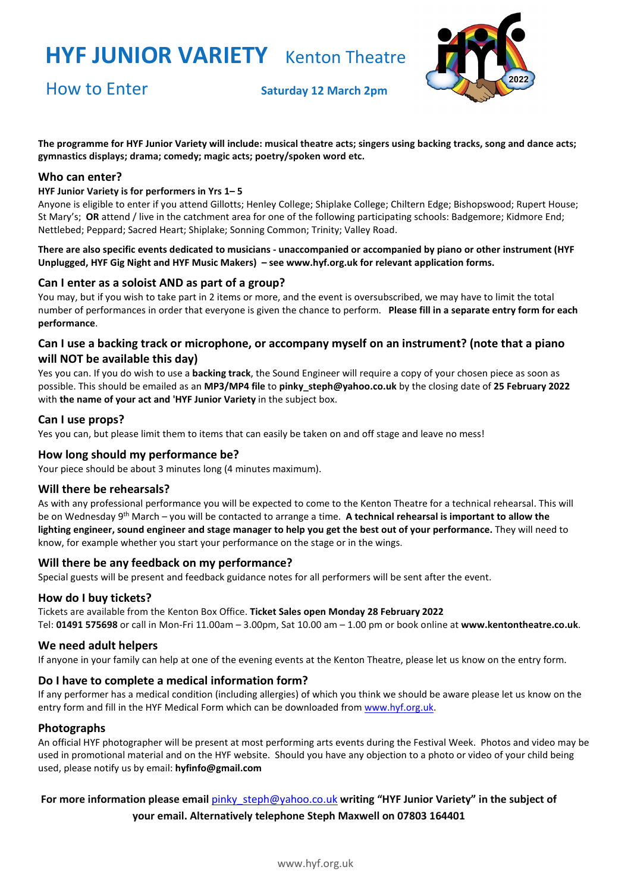

How to Enter **Saturday <sup>12</sup> March 2pm**

**The programme for HYF Junior Variety will include: musical theatre acts; singers using backing tracks, song and dance acts; gymnastics displays; drama; comedy; magic acts; poetry/spoken word etc.**

#### **Who can enter?**

#### **HYF Junior Variety is for performers in Yrs 1– 5**

Anyone is eligible to enter if you attend Gillotts; Henley College; Shiplake College; Chiltern Edge; Bishopswood; Rupert House; St Mary's; **OR** attend / live in the catchment area for one of the following participating schools: Badgemore; Kidmore End; Nettlebed; Peppard; Sacred Heart; Shiplake; Sonning Common; Trinity; Valley Road.

**There are also specific events dedicated to musicians - unaccompanied or accompanied by piano or other instrument (HYF Unplugged, HYF Gig Night and HYF Music Makers) – se[e www.hyf.org.uk](http://www.hyf.org.uk/) for relevant application forms.**

#### **Can I enter as a soloist AND as part of a group?**

You may, but if you wish to take part in 2 items or more, and the event is oversubscribed, we may have to limit the total number of performances in order that everyone is given the chance to perform. **Please fill in a separate entry form for each performance**.

### **Can I use a backing track or microphone, or accompany myself on an instrument? (note that a piano will NOT be available this day)**

Yes you can. If you do wish to use a **backing track**, the Sound Engineer will require a copy of your chosen piece as soon as possible. This should be emailed as an **MP3/MP4 file** to **pinky\_steph@yahoo.co.uk** by the closing date of **25 February 2022** with **the name of your act and 'HYF Junior Variety** in the subject box.

#### **Can I use props?**

Yes you can, but please limit them to items that can easily be taken on and off stage and leave no mess!

#### **How long should my performance be?**

Your piece should be about 3 minutes long (4 minutes maximum).

#### **Will there be rehearsals?**

As with any professional performance you will be expected to come to the Kenton Theatre for a technical rehearsal. This will be on Wednesday 9th March – you will be contacted to arrange a time. **A technical rehearsal is important to allow the lighting engineer, sound engineer and stage manager to help you get the best out of your performance.** They will need to know, for example whether you start your performance on the stage or in the wings.

#### **Will there be any feedback on my performance?**

Special guests will be present and feedback guidance notes for all performers will be sent after the event.

#### **How do I buy tickets?**

Tickets are available from the Kenton Box Office. **Ticket Sales open Monday 28 February 2022** Tel: **01491 575698** or call in Mon-Fri 11.00am – 3.00pm, Sat 10.00 am – 1.00 pm or book online at **[www.kentontheatre.co.uk](http://www.kentontheatre.co.uk/)**.

#### **We need adult helpers**

If anyone in your family can help at one of the evening events at the Kenton Theatre, please let us know on the [entry form.](http://www.hyf.org.uk/media/13759-hyf%20entry%20form%20music%20makers.pdf)

#### **Do I have to complete a medical information form?**

If any performer has a medical condition (including allergies) of which you think we should be aware please let us know on the entry form and fill in the HYF Medical Form which can be downloaded from [www.hyf.org.uk.](http://www.hyf.org.uk/)

#### **Photographs**

An official HYF photographer will be present at most performing arts events during the Festival Week. Photos and video may be used in promotional material and on the HYF website. Should you have any objection to a photo or video of your child being used, please notify us by email: **hyfinfo@gmail.com**

### **For more information please email** [pinky\\_steph@yahoo.co.uk](mailto:pinky_steph@yahoo.co.uk) **writing "HYF Junior Variety" in the subject of your email. Alternatively telephone Steph Maxwell on 07803 164401**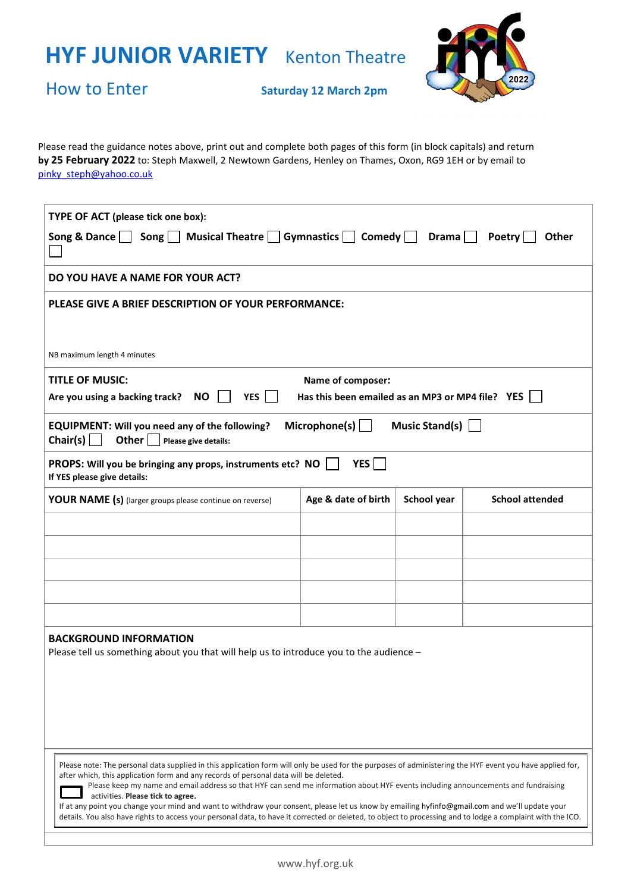

How to Enter **Saturday <sup>12</sup> March 2pm**

Please read the guidance notes above, print out and complete both pages of this form (in block capitals) and return **by 25 February 2022** to: Steph Maxwell, 2 Newtown Gardens, Henley on Thames, Oxon, RG9 1EH or by email to [pinky\\_steph@yahoo.co.uk](mailto:pinky_steph@yahoo.co.uk)

| TYPE OF ACT (please tick one box):                                                                                                                                                                                                                                                                            |                     |             |                        |  |  |
|---------------------------------------------------------------------------------------------------------------------------------------------------------------------------------------------------------------------------------------------------------------------------------------------------------------|---------------------|-------------|------------------------|--|--|
| Song     Musical Theatre     Gymnastics     Comedy    <br>Song & Dance $\vert$<br>Drama $ $<br>Poetry<br><b>Other</b>                                                                                                                                                                                         |                     |             |                        |  |  |
| DO YOU HAVE A NAME FOR YOUR ACT?<br><b>PLEASE GIVE A BRIEF DESCRIPTION OF YOUR PERFORMANCE:</b>                                                                                                                                                                                                               |                     |             |                        |  |  |
|                                                                                                                                                                                                                                                                                                               |                     |             |                        |  |  |
| NB maximum length 4 minutes                                                                                                                                                                                                                                                                                   |                     |             |                        |  |  |
| <b>TITLE OF MUSIC:</b><br>Name of composer:                                                                                                                                                                                                                                                                   |                     |             |                        |  |  |
| <b>YES</b><br><b>NO</b><br>Has this been emailed as an MP3 or MP4 file? YES  <br>Are you using a backing track?                                                                                                                                                                                               |                     |             |                        |  |  |
| Microphone(s) $\Box$<br>Music Stand(s)<br><b>EQUIPMENT: Will you need any of the following?</b><br>Chair(s) $\Box$<br>Other $\vert$ $\vert$<br>Please give details:                                                                                                                                           |                     |             |                        |  |  |
| <b>YES</b><br>PROPS: Will you be bringing any props, instruments etc? NO<br>If YES please give details:                                                                                                                                                                                                       |                     |             |                        |  |  |
| <b>YOUR NAME (s)</b> (larger groups please continue on reverse)                                                                                                                                                                                                                                               | Age & date of birth | School year | <b>School attended</b> |  |  |
|                                                                                                                                                                                                                                                                                                               |                     |             |                        |  |  |
|                                                                                                                                                                                                                                                                                                               |                     |             |                        |  |  |
|                                                                                                                                                                                                                                                                                                               |                     |             |                        |  |  |
|                                                                                                                                                                                                                                                                                                               |                     |             |                        |  |  |
|                                                                                                                                                                                                                                                                                                               |                     |             |                        |  |  |
| <b>BACKGROUND INFORMATION</b><br>Please tell us something about you that will help us to introduce you to the audience -                                                                                                                                                                                      |                     |             |                        |  |  |
|                                                                                                                                                                                                                                                                                                               |                     |             |                        |  |  |
|                                                                                                                                                                                                                                                                                                               |                     |             |                        |  |  |
|                                                                                                                                                                                                                                                                                                               |                     |             |                        |  |  |
|                                                                                                                                                                                                                                                                                                               |                     |             |                        |  |  |
| Please note: The personal data supplied in this application form will only be used for the purposes of administering the HYF event you have applied for,<br>after which, this application form and any records of personal data will be deleted.                                                              |                     |             |                        |  |  |
| Please keep my name and email address so that HYF can send me information about HYF events including announcements and fundraising<br>activities. Please tick to agree.                                                                                                                                       |                     |             |                        |  |  |
| If at any point you change your mind and want to withdraw your consent, please let us know by emailing hyfinfo@gmail.com and we'll update your<br>details. You also have rights to access your personal data, to have it corrected or deleted, to object to processing and to lodge a complaint with the ICO. |                     |             |                        |  |  |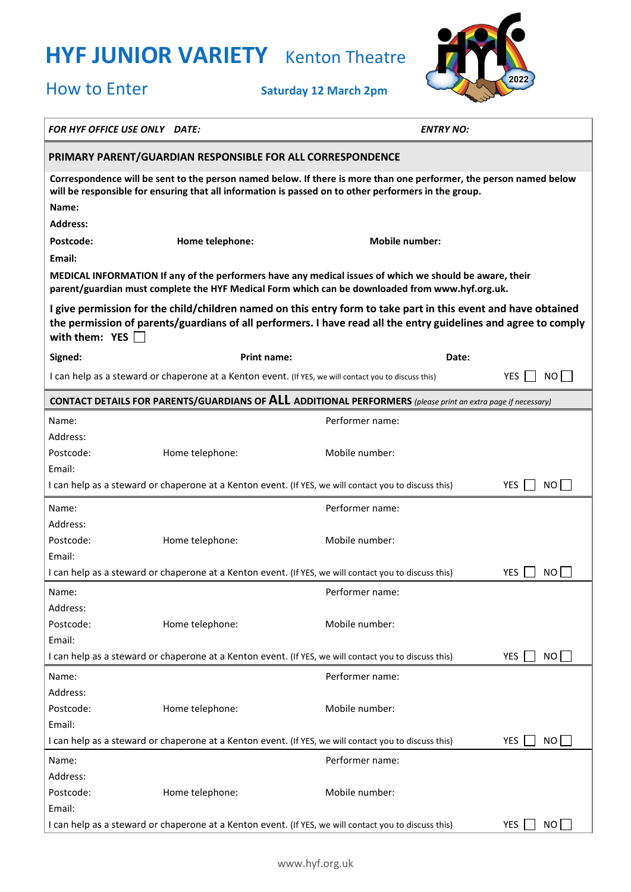

How to Enter **Saturday <sup>12</sup> March 2pm**

| FOR HYF OFFICE USE ONLY DATE:                                                                                                                                                                                                                         |                                                                                                       | <b>ENTRY NO:</b>      |                   |  |  |
|-------------------------------------------------------------------------------------------------------------------------------------------------------------------------------------------------------------------------------------------------------|-------------------------------------------------------------------------------------------------------|-----------------------|-------------------|--|--|
| PRIMARY PARENT/GUARDIAN RESPONSIBLE FOR ALL CORRESPONDENCE                                                                                                                                                                                            |                                                                                                       |                       |                   |  |  |
| Correspondence will be sent to the person named below. If there is more than one performer, the person named below<br>will be responsible for ensuring that all information is passed on to other performers in the group.                            |                                                                                                       |                       |                   |  |  |
| Name:                                                                                                                                                                                                                                                 |                                                                                                       |                       |                   |  |  |
| <b>Address:</b>                                                                                                                                                                                                                                       |                                                                                                       |                       |                   |  |  |
| Postcode:                                                                                                                                                                                                                                             | Home telephone:                                                                                       | <b>Mobile number:</b> |                   |  |  |
| Email:                                                                                                                                                                                                                                                |                                                                                                       |                       |                   |  |  |
| MEDICAL INFORMATION If any of the performers have any medical issues of which we should be aware, their<br>parent/guardian must complete the HYF Medical Form which can be downloaded from www.hyf.org.uk.                                            |                                                                                                       |                       |                   |  |  |
| I give permission for the child/children named on this entry form to take part in this event and have obtained<br>the permission of parents/guardians of all performers. I have read all the entry guidelines and agree to comply<br>with them: $YES$ |                                                                                                       |                       |                   |  |  |
| Signed:                                                                                                                                                                                                                                               | <b>Print name:</b>                                                                                    | Date:                 |                   |  |  |
|                                                                                                                                                                                                                                                       | I can help as a steward or chaperone at a Kenton event. (If YES, we will contact you to discuss this) |                       | YES.<br>NO I      |  |  |
| <b>CONTACT DETAILS FOR PARENTS/GUARDIANS OF ALL ADDITIONAL PERFORMERS</b> (please print an extra page if necessary)                                                                                                                                   |                                                                                                       |                       |                   |  |  |
| Name:                                                                                                                                                                                                                                                 |                                                                                                       | Performer name:       |                   |  |  |
| Address:                                                                                                                                                                                                                                              |                                                                                                       |                       |                   |  |  |
| Postcode:                                                                                                                                                                                                                                             | Home telephone:                                                                                       | Mobile number:        |                   |  |  |
| Email:                                                                                                                                                                                                                                                |                                                                                                       |                       |                   |  |  |
| I can help as a steward or chaperone at a Kenton event. (If YES, we will contact you to discuss this)<br>YES<br>NO.                                                                                                                                   |                                                                                                       |                       |                   |  |  |
| Name:                                                                                                                                                                                                                                                 |                                                                                                       | Performer name:       |                   |  |  |
| Address:                                                                                                                                                                                                                                              |                                                                                                       |                       |                   |  |  |
| Postcode:                                                                                                                                                                                                                                             | Home telephone:                                                                                       | Mobile number:        |                   |  |  |
| Email:                                                                                                                                                                                                                                                |                                                                                                       |                       |                   |  |  |
|                                                                                                                                                                                                                                                       | I can help as a steward or chaperone at a Kenton event. (If YES, we will contact you to discuss this) |                       | YES.<br>ΝO        |  |  |
| Name:                                                                                                                                                                                                                                                 |                                                                                                       | Performer name:       |                   |  |  |
| Address:                                                                                                                                                                                                                                              |                                                                                                       |                       |                   |  |  |
| Postcode:                                                                                                                                                                                                                                             | Home telephone:                                                                                       | Mobile number:        |                   |  |  |
| Email:                                                                                                                                                                                                                                                |                                                                                                       |                       |                   |  |  |
|                                                                                                                                                                                                                                                       | I can help as a steward or chaperone at a Kenton event. (If YES, we will contact you to discuss this) |                       | <b>YES</b><br>NO. |  |  |
| Name:                                                                                                                                                                                                                                                 |                                                                                                       | Performer name:       |                   |  |  |
| Address:                                                                                                                                                                                                                                              |                                                                                                       |                       |                   |  |  |
| Postcode:                                                                                                                                                                                                                                             | Home telephone:                                                                                       | Mobile number:        |                   |  |  |
| Email:                                                                                                                                                                                                                                                | I can help as a steward or chaperone at a Kenton event. (If YES, we will contact you to discuss this) |                       | <b>YES</b><br>NO. |  |  |
|                                                                                                                                                                                                                                                       |                                                                                                       |                       |                   |  |  |
| Name:                                                                                                                                                                                                                                                 |                                                                                                       | Performer name:       |                   |  |  |
| Address:<br>Postcode:                                                                                                                                                                                                                                 | Home telephone:                                                                                       | Mobile number:        |                   |  |  |
| Email:                                                                                                                                                                                                                                                |                                                                                                       |                       |                   |  |  |
| I can help as a steward or chaperone at a Kenton event. (If YES, we will contact you to discuss this)<br><b>YES</b><br>NO                                                                                                                             |                                                                                                       |                       |                   |  |  |
|                                                                                                                                                                                                                                                       |                                                                                                       |                       |                   |  |  |